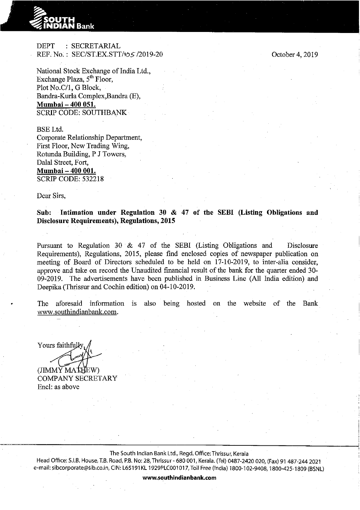

**DEPT** : SECRETARIAL REF. No.: SEC/ST.EX.STT/to 5/2019-20

National Stock Exchange of India Ltd., Exchange Plaza, 5<sup>th</sup> Floor. Plot No.C/1, G Block, Bandra-Kurla Complex, Bandra (E), Mumbai - 400 051. **SCRIP CODE: SOUTHBANK** 

**BSE** Ltd. Corporate Relationship Department. First Floor, New Trading Wing, Rotunda Building, P J Towers, Dalal Street, Fort, Mumbai - 400 001. **SCRIP CODE: 532218** 

Dear Sirs.

Intimation under Regulation 30 & 47 of the SEBI (Listing Obligations and Sub. **Disclosure Requirements), Regulations, 2015** 

Pursuant to Regulation 30 & 47 of the SEBI (Listing Obligations and Disclosure Requirements), Regulations, 2015, please find enclosed copies of newspaper publication on meeting of Board of Directors scheduled to be held on 17-10-2019, to inter-alia consider, approve and take on record the Unaudited financial result of the bank for the quarter ended 30-09-2019. The advertisements have been published in Business Line (All India edition) and Deepika (Thrissur and Cochin edition) on 04-10-2019.

being hosted on the website of the Bank The aforesaid information is also www.southindianbank.com.

Yours faithfully

(JIMMY MATHEW) **COMPANY SECRETARY** Encl: as above

The South Indian Bank Ltd., Regd. Office: Thrissur, Kerala

Head Office: S.I.B. House, T.B. Road, P.B. No: 28, Thrissur - 680 001, Kerala. (Tel) 0487-2420 020, (Fax) 91 487-244 2021 e-mail: sibcorporate@sib.co.in, CIN: L65191KL 1929PLC001017, Toll Free (India) 1800-102-9408, 1800-425-1809 (BSNL)

October 4, 2019

www.southindianbank.com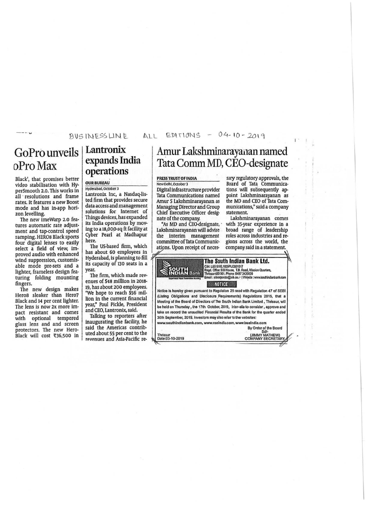### BUS IN ESS LINE

# GoPro unveils oProMax

Black', that promises better video stabilisation with HyperSmooth 2.0. This works In all · resolutions and frame rates. It features a new Boost mode and has in-app hori-<br>zon levelling.

The new imeWarp 2.0 features automatic rate adjustment and tap-control speed ramping. HEROS Black sports four digital lenses to easily select a field of view, Improved audio with enhanced wind suppression, customlsable mode pre-sets and a lighter, frameless design fea· turing folding mounting<br>fingers.

The new design makes Heros sleaker than Hero7 Black and 14 per cent lighter. The lens Is now 2x more Impact resistant and comes with optional tempered glass lens and and screen protectors. The new Hero· Black will cost  $\overline{\text{t}}$ 36,500 in

## Lantronix expands India operations

#### OUR BUREAU

Hyderabad, October 3 Lantronix Inc, a Nasdaq-listed firm that provides secure data access and management solutions for Internet of Things devices, has expanded its India operations by moving to a 18,000-sq ft facility at Cyber Pearl at Madhapur here.

The us-based firm, which has about 60 employees In Hyderabad, Is planning to fill its capacity of 130 seats in a year.<br>The firm, which made rev-

enues of \$48 million in 2018-19, has about 200 employees. "We hope to reach SSG million in the current financial year," Paul Pickle, President and CEO, Lantronix, said.

Talking to reporters after inaugurating the facility, he said the Americas contributed about 55 per cent to the revenues and Asia-Pacific re-

#### $EPITI0NS - 04-10-2019$  $\Delta$ ll

## Amur Lakshminarayanan named Tata Comm MD, CEO-designate

#### PR£55 TRUST Of INDIA

New Delhi, October 3 Digital infrastructure provider Tata Communications named Amur *S* Lakshminarayanan as Managing Director and Group Chief Executive Officer designate of the company.<br>"As MD and CEO-designate,

Lakshminarayanan will advise the interim management ations. Upon receipt of neces-

Thrissur<br>Date:03-10-2019

sary regulatory approvals, the<br>Board of Tata Communications will subsequently appoint Lakshminarayanan as the MD and CEO of Tata Communications," said a company<br>statement.

Lakshminarayanan comes with 35-year experience in a broad range of leadership roles across Industries and regions across the world, the company said in a statement.

| <b>OUTH<br/>NDIAN Bank</b><br>Experience Hart Generation Banking | The South Indian Bank Ltd.<br>CIN: L65191KL1929PLC001017<br>Regd. Office: SIB House, T.B. Road, Mission Quarters,<br>Thrissur-680 001, Phone :0487 2420020<br>Email: sibcorporate@sib.co.in (Website: www.southindianbank.com<br><b>NOTICE</b> |
|------------------------------------------------------------------|------------------------------------------------------------------------------------------------------------------------------------------------------------------------------------------------------------------------------------------------|
|                                                                  |                                                                                                                                                                                                                                                |
|                                                                  | Notice is hereby given pursuant to Regulation 29 read with Regulation 47 of SEBI                                                                                                                                                               |
|                                                                  | (Listing Obligations and Disclosure Requirements) Regulations 2015, that a                                                                                                                                                                     |
|                                                                  | Meeting of the Board of Directors of The South Indian Bank Limited, Thrissur, will                                                                                                                                                             |
|                                                                  | be held on Thursday, the 17th October, 2019, inter-alia to consider, approve and                                                                                                                                                               |
|                                                                  | take on record the unaudited Financial Results of the Bank for the quarter ended                                                                                                                                                               |
|                                                                  |                                                                                                                                                                                                                                                |
|                                                                  | 30th September, 2019. Investors may also refer to the websites:                                                                                                                                                                                |
|                                                                  | www.southindianbank.com, www.nseindia.com, www.bseindia.com                                                                                                                                                                                    |

By Order of the Board<br>
Sd/-<br>
(JIMMY MATHEW)<br>
COMPANY SECRETARY